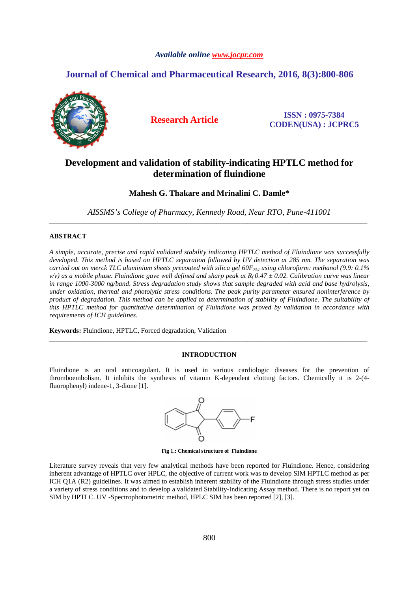# *Available online www.jocpr.com*

# **Journal of Chemical and Pharmaceutical Research, 2016, 8(3):800-806**



**Research Article ISSN : 0975-7384 CODEN(USA) : JCPRC5**

# **Development and validation of stability-indicating HPTLC method for determination of fluindione**

# **Mahesh G. Thakare and Mrinalini C. Damle\***

*AISSMS's College of Pharmacy, Kennedy Road, Near RTO, Pune-411001*  \_\_\_\_\_\_\_\_\_\_\_\_\_\_\_\_\_\_\_\_\_\_\_\_\_\_\_\_\_\_\_\_\_\_\_\_\_\_\_\_\_\_\_\_\_\_\_\_\_\_\_\_\_\_\_\_\_\_\_\_\_\_\_\_\_\_\_\_\_\_\_\_\_\_\_\_\_\_\_\_\_\_\_\_\_\_\_\_\_\_\_\_\_

## **ABSTRACT**

*A simple, accurate, precise and rapid validated stability indicating HPTLC method of Fluindione was successfully developed. This method is based on HPTLC separation followed by UV detection at 285 nm. The separation was carried out on merck TLC aluminium sheets precoated with silica gel 60F254 using chloroform: methanol (9.9: 0.1% v/v) as a mobile phase. Fluindione gave well defined and sharp peak at R<sup>f</sup> 0.47 ± 0.02. Calibration curve was linear in range 1000-3000 ng/band. Stress degradation study shows that sample degraded with acid and base hydrolysis, under oxidation, thermal and photolytic stress conditions. The peak purity parameter ensured noninterference by product of degradation. This method can be applied to determination of stability of Fluindione. The suitability of this HPTLC method for quantitative determination of Fluindione was proved by validation in accordance with requirements of ICH guidelines.* 

**Keywords:** Fluindione, HPTLC, Forced degradation, Validation

#### **INTRODUCTION**

\_\_\_\_\_\_\_\_\_\_\_\_\_\_\_\_\_\_\_\_\_\_\_\_\_\_\_\_\_\_\_\_\_\_\_\_\_\_\_\_\_\_\_\_\_\_\_\_\_\_\_\_\_\_\_\_\_\_\_\_\_\_\_\_\_\_\_\_\_\_\_\_\_\_\_\_\_\_\_\_\_\_\_\_\_\_\_\_\_\_\_\_\_

Fluindione is an oral anticoagulant. It is used in various cardiologic diseases for the prevention of thromboembolism. It inhibits the synthesis of vitamin K-dependent clotting factors. Chemically it is 2-(4 fluorophenyl) indene-1, 3-dione [1].



**Fig 1.: Chemical structure of Fluindione** 

Literature survey reveals that very few analytical methods have been reported for Fluindione. Hence, considering inherent advantage of HPTLC over HPLC, the objective of current work was to develop SIM HPTLC method as per ICH Q1A (R2) guidelines. It was aimed to establish inherent stability of the Fluindione through stress studies under a variety of stress conditions and to develop a validated Stability-Indicating Assay method. There is no report yet on SIM by HPTLC. UV -Spectrophotometric method, HPLC SIM has been reported [2], [3].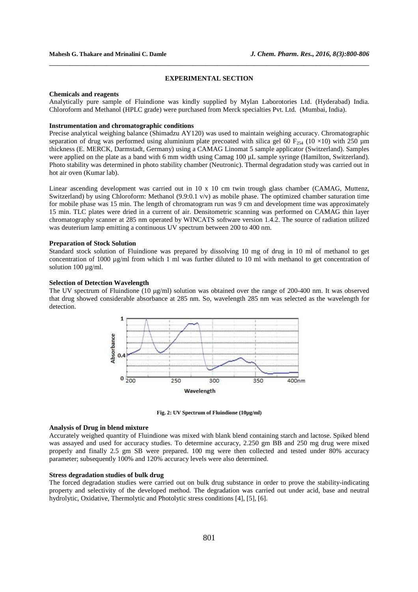#### **EXPERIMENTAL SECTION**

\_\_\_\_\_\_\_\_\_\_\_\_\_\_\_\_\_\_\_\_\_\_\_\_\_\_\_\_\_\_\_\_\_\_\_\_\_\_\_\_\_\_\_\_\_\_\_\_\_\_\_\_\_\_\_\_\_\_\_\_\_\_\_\_\_\_\_\_\_\_\_\_\_\_\_\_\_\_

#### **Chemicals and reagents**

Analytically pure sample of Fluindione was kindly supplied by Mylan Laborotories Ltd. (Hyderabad) India. Chloroform and Methanol (HPLC grade) were purchased from Merck specialties Pvt. Ltd. (Mumbai, India).

## **Instrumentation and chromatographic conditions**

Precise analytical weighing balance (Shimadzu AY120) was used to maintain weighing accuracy. Chromatographic separation of drug was performed using aluminium plate precoated with silica gel 60 F<sub>254</sub> (10 ×10) with 250 µm thickness (E. MERCK, Darmstadt, Germany) using a CAMAG Linomat 5 sample applicator (Switzerland). Samples were applied on the plate as a band with 6 mm width using Camag 100 µL sample syringe (Hamilton, Switzerland). Photo stability was determined in photo stability chamber (Neutronic). Thermal degradation study was carried out in hot air oven (Kumar lab).

Linear ascending development was carried out in 10 x 10 cm twin trough glass chamber (CAMAG, Muttenz, Switzerland) by using Chloroform: Methanol (9.9:0.1 v/v) as mobile phase. The optimized chamber saturation time for mobile phase was 15 min. The length of chromatogram run was 9 cm and development time was approximately 15 min. TLC plates were dried in a current of air. Densitometric scanning was performed on CAMAG thin layer chromatography scanner at 285 nm operated by WINCATS software version 1.4.2. The source of radiation utilized was deuterium lamp emitting a continuous UV spectrum between 200 to 400 nm.

#### **Preparation of Stock Solution**

Standard stock solution of Fluindione was prepared by dissolving 10 mg of drug in 10 ml of methanol to get concentration of 1000 µg/ml from which 1 ml was further diluted to 10 ml with methanol to get concentration of solution 100  $\mu$ g/ml.

### **Selection of Detection Wavelength**

The UV spectrum of Fluindione (10 µg/ml) solution was obtained over the range of 200-400 nm. It was observed that drug showed considerable absorbance at 285 nm. So, wavelength 285 nm was selected as the wavelength for detection.



**Fig. 2: UV Spectrum of Fluindione (10µg/ml)** 

#### **Analysis of Drug in blend mixture**

Accurately weighed quantity of Fluindione was mixed with blank blend containing starch and lactose. Spiked blend was assayed and used for accuracy studies. To determine accuracy, 2.250 gm BB and 250 mg drug were mixed properly and finally 2.5 gm SB were prepared. 100 mg were then collected and tested under 80% accuracy parameter; subsequently 100% and 120% accuracy levels were also determined.

#### **Stress degradation studies of bulk drug**

The forced degradation studies were carried out on bulk drug substance in order to prove the stability-indicating property and selectivity of the developed method. The degradation was carried out under acid, base and neutral hydrolytic, Oxidative, Thermolytic and Photolytic stress conditions [4], [5], [6].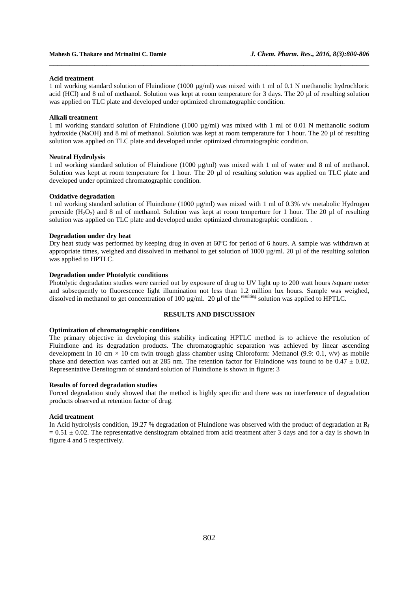#### **Acid treatment**

1 ml working standard solution of Fluindione (1000 µg/ml) was mixed with 1 ml of 0.1 N methanolic hydrochloric acid (HCl) and 8 ml of methanol. Solution was kept at room temperature for 3 days. The 20 µl of resulting solution was applied on TLC plate and developed under optimized chromatographic condition.

\_\_\_\_\_\_\_\_\_\_\_\_\_\_\_\_\_\_\_\_\_\_\_\_\_\_\_\_\_\_\_\_\_\_\_\_\_\_\_\_\_\_\_\_\_\_\_\_\_\_\_\_\_\_\_\_\_\_\_\_\_\_\_\_\_\_\_\_\_\_\_\_\_\_\_\_\_\_

#### **Alkali treatment**

1 ml working standard solution of Fluindione (1000  $\mu$ g/ml) was mixed with 1 ml of 0.01 N methanolic sodium hydroxide (NaOH) and 8 ml of methanol. Solution was kept at room temperature for 1 hour. The 20 µl of resulting solution was applied on TLC plate and developed under optimized chromatographic condition.

#### **Neutral Hydrolysis**

1 ml working standard solution of Fluindione (1000 µg/ml) was mixed with 1 ml of water and 8 ml of methanol. Solution was kept at room temperature for 1 hour. The 20  $\mu$ l of resulting solution was applied on TLC plate and developed under optimized chromatographic condition.

#### **Oxidative degradation**

1 ml working standard solution of Fluindione (1000 µg/ml) was mixed with 1 ml of 0.3% v/v metabolic Hydrogen peroxide  $(H_2O_2)$  and 8 ml of methanol. Solution was kept at room temperture for 1 hour. The 20 µl of resulting solution was applied on TLC plate and developed under optimized chromatographic condition. .

#### **Degradation under dry heat**

Dry heat study was performed by keeping drug in oven at 60ºC for period of 6 hours. A sample was withdrawn at appropriate times, weighed and dissolved in methanol to get solution of 1000  $\mu$ g/ml. 20  $\mu$ l of the resulting solution was applied to HPTLC.

#### **Degradation under Photolytic conditions**

Photolytic degradation studies were carried out by exposure of drug to UV light up to 200 watt hours /square meter and subsequently to fluorescence light illumination not less than 1.2 million lux hours. Sample was weighed, dissolved in methanol to get concentration of 100 µg/ml. 20 µl of the resulting solution was applied to HPTLC.

#### **RESULTS AND DISCUSSION**

#### **Optimization of chromatographic conditions**

The primary objective in developing this stability indicating HPTLC method is to achieve the resolution of Fluindione and its degradation products. The chromatographic separation was achieved by linear ascending development in 10 cm  $\times$  10 cm twin trough glass chamber using Chloroform: Methanol (9.9: 0.1, v/v) as mobile phase and detection was carried out at 285 nm. The retention factor for Fluindione was found to be  $0.47 \pm 0.02$ . Representative Densitogram of standard solution of Fluindione is shown in figure: 3

#### **Results of forced degradation studies**

Forced degradation study showed that the method is highly specific and there was no interference of degradation products observed at retention factor of drug.

#### **Acid treatment**

In Acid hydrolysis condition, 19.27 % degradation of Fluindione was observed with the product of degradation at  $R_f$  $= 0.51 \pm 0.02$ . The representative densitogram obtained from acid treatment after 3 days and for a day is shown in figure 4 and 5 respectively.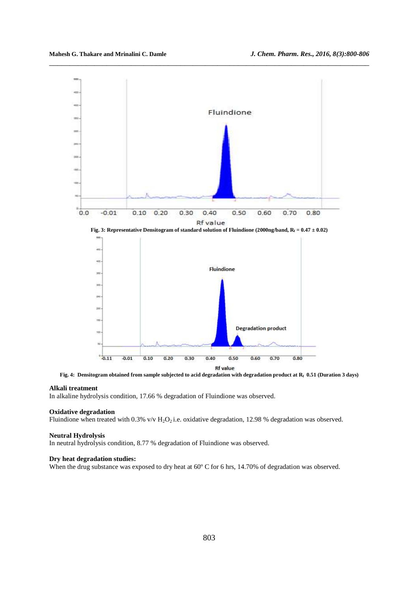

\_\_\_\_\_\_\_\_\_\_\_\_\_\_\_\_\_\_\_\_\_\_\_\_\_\_\_\_\_\_\_\_\_\_\_\_\_\_\_\_\_\_\_\_\_\_\_\_\_\_\_\_\_\_\_\_\_\_\_\_\_\_\_\_\_\_\_\_\_\_\_\_\_\_\_\_\_\_



**Fig. 4: Densitogram obtained from sample subjected to acid degradation with degradation product at Rf 0.51 (Duration 3 days)** 

#### **Alkali treatment**

In alkaline hydrolysis condition, 17.66 % degradation of Fluindione was observed.

#### **Oxidative degradation**

Fluindione when treated with 0.3% v/v H<sub>2</sub>O<sub>2</sub> i.e. oxidative degradation, 12.98 % degradation was observed.

#### **Neutral Hydrolysis**

In neutral hydrolysis condition, 8.77 % degradation of Fluindione was observed.

#### **Dry heat degradation studies:**

When the drug substance was exposed to dry heat at 60 $^{\circ}$  C for 6 hrs, 14.70% of degradation was observed.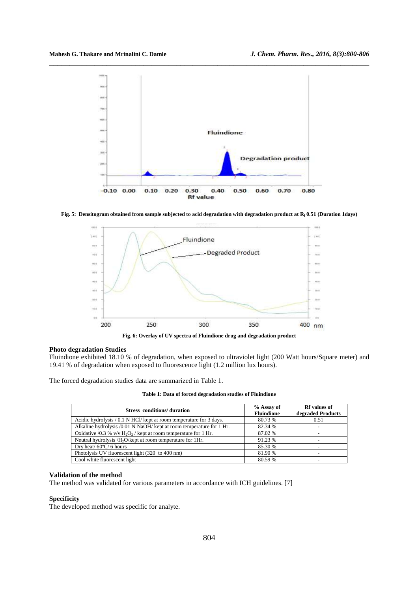

**Fig. 5: Densitogram obtained from sample subjected to acid degradation with degradation product at Rf 0.51 (Duration 1days)** 



**Fig. 6: Overlay of UV spectra of Fluindione drug and degradation product** 

#### **Photo degradation Studies**

Fluindione exhibited 18.10 % of degradation, when exposed to ultraviolet light (200 Watt hours/Square meter) and 19.41 % of degradation when exposed to fluorescence light (1.2 million lux hours).

The forced degradation studies data are summarized in Table 1.

**Table 1: Data of forced degradation studies of Fluindione** 

| <b>Stress</b> conditions/duration                                                         | % Assay of<br><b>Fluindione</b> | <b>Rf</b> values of<br>degraded Products |
|-------------------------------------------------------------------------------------------|---------------------------------|------------------------------------------|
| Acidic hydrolysis / 0.1 N HCl/ kept at room temperature for 3 days.                       | 80.73 %                         | 0.51                                     |
| Alkaline hydrolysis /0.01 N NaOH/ kept at room temperature for 1 Hr.                      | 82.34 %                         |                                          |
| Oxidative /0.3 % $v/v$ H <sub>2</sub> O <sub>2</sub> / kept at room temperature for 1 Hr. | 87.02 %                         |                                          |
| Neutral hydrolysis /H <sub>2</sub> O/kept at room temperature for 1Hr.                    | 91.23 %                         |                                          |
| Dry heat/ $60^{\circ}$ C/ $6$ hours                                                       | 85.30 %                         |                                          |
| Photolysis UV fluorescent light (320 to 400 nm)                                           | 81.90 %                         |                                          |
| Cool white fluorescent light                                                              | 80.59 %                         |                                          |

#### **Validation of the method**

The method was validated for various parameters in accordance with ICH guidelines. [7]

#### **Specificity**

The developed method was specific for analyte.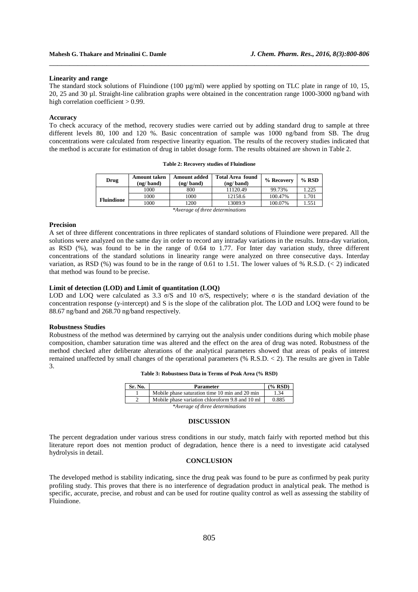#### **Linearity and range**

The standard stock solutions of Fluindione (100  $\mu$ g/ml) were applied by spotting on TLC plate in range of 10, 15, 20, 25 and 30 µl. Straight-line calibration graphs were obtained in the concentration range 1000-3000 ng/band with high correlation coefficient > 0.99.

\_\_\_\_\_\_\_\_\_\_\_\_\_\_\_\_\_\_\_\_\_\_\_\_\_\_\_\_\_\_\_\_\_\_\_\_\_\_\_\_\_\_\_\_\_\_\_\_\_\_\_\_\_\_\_\_\_\_\_\_\_\_\_\_\_\_\_\_\_\_\_\_\_\_\_\_\_\_

#### **Accuracy**

To check accuracy of the method, recovery studies were carried out by adding standard drug to sample at three different levels 80, 100 and 120 %. Basic concentration of sample was 1000 ng/band from SB. The drug concentrations were calculated from respective linearity equation. The results of the recovery studies indicated that the method is accurate for estimation of drug in tablet dosage form. The results obtained are shown in Table 2.

**Table 2: Recovery studies of Fluindione** 

| Drug                             | <b>Amount taken</b><br>(ng/band) | <b>Amount added</b><br>(ng/band) | <b>Total Area found</b><br>(ng/band) | % Recovery | $%$ RSD |
|----------------------------------|----------------------------------|----------------------------------|--------------------------------------|------------|---------|
|                                  | 1000                             | 800                              | 11120.49                             | 99.73%     | 1.225   |
| <b>Fluindione</b>                | 1000                             | 1000                             | 12158.6                              | 100.47%    | 1.701   |
|                                  | 1000                             | 1200                             | 13089.9                              | 100.07%    | 1.551   |
| *Average of three determinations |                                  |                                  |                                      |            |         |

# **Precision**

A set of three different concentrations in three replicates of standard solutions of Fluindione were prepared. All the solutions were analyzed on the same day in order to record any intraday variations in the results. Intra-day variation, as RSD (%), was found to be in the range of 0.64 to 1.77. For Inter day variation study, three different concentrations of the standard solutions in linearity range were analyzed on three consecutive days. Interday variation, as RSD (%) was found to be in the range of 0.61 to 1.51. The lower values of % R.S.D. ( $\lt$  2) indicated that method was found to be precise.

#### **Limit of detection (LOD) and Limit of quantitation (LOQ)**

LOD and LOQ were calculated as 3.3  $\sigma$ /S and 10  $\sigma$ /S, respectively; where  $\sigma$  is the standard deviation of the concentration response (y-intercept) and S is the slope of the calibration plot. The LOD and LOQ were found to be 88.67 ng/band and 268.70 ng/band respectively.

#### **Robustness Studies**

Robustness of the method was determined by carrying out the analysis under conditions during which mobile phase composition, chamber saturation time was altered and the effect on the area of drug was noted. Robustness of the method checked after deliberate alterations of the analytical parameters showed that areas of peaks of interest remained unaffected by small changes of the operational parameters (% R.S.D. < 2). The results are given in Table 3.

| Table 3: Robustness Data in Terms of Peak Area (% RSD) |  |  |  |  |  |  |  |
|--------------------------------------------------------|--|--|--|--|--|--|--|
|--------------------------------------------------------|--|--|--|--|--|--|--|

| Sr. No.                          | <b>Parameter</b>                                | (% RSD) |  |
|----------------------------------|-------------------------------------------------|---------|--|
|                                  | Mobile phase saturation time 10 min and 20 min  | 1.34    |  |
|                                  | Mobile phase variation chloroform 9.8 and 10 ml | 0.885   |  |
| *Average of three determinations |                                                 |         |  |

#### **DISCUSSION**

The percent degradation under various stress conditions in our study, match fairly with reported method but this literature report does not mention product of degradation, hence there is a need to investigate acid catalysed hydrolysis in detail.

#### **CONCLUSION**

The developed method is stability indicating, since the drug peak was found to be pure as confirmed by peak purity profiling study. This proves that there is no interference of degradation product in analytical peak. The method is specific, accurate, precise, and robust and can be used for routine quality control as well as assessing the stability of Fluindione.